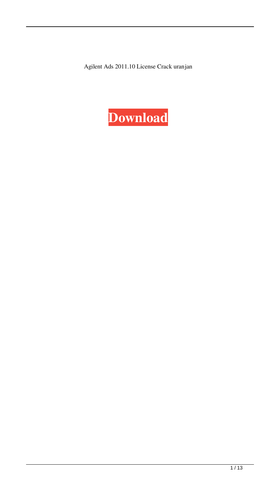Agilent Ads 2011.10 License Crack uranjan

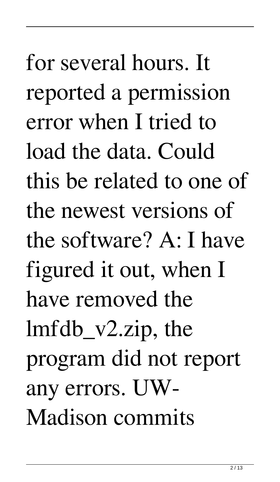for several hours. It reported a permission error when I tried to load the data. Could this be related to one of the newest versions of the software? A: I have figured it out, when I have removed the lmfdb\_v2.zip, the program did not report any errors. UW-Madison commits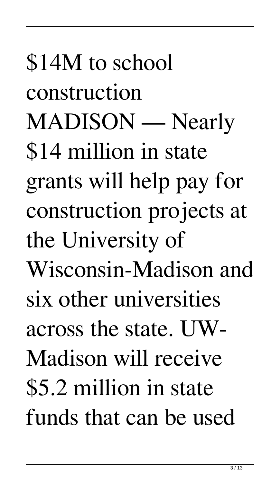\$14M to school construction MADISON — Nearly \$14 million in state grants will help pay for construction projects at the University of Wisconsin-Madison and six other universities across the state. UW-Madison will receive \$5.2 million in state funds that can be used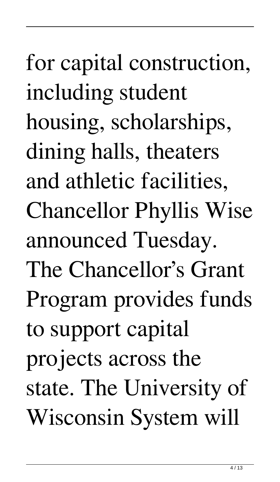for capital construction, including student housing, scholarships, dining halls, theaters and athletic facilities, Chancellor Phyllis Wise announced Tuesday. The Chancellor's Grant Program provides funds to support capital projects across the state. The University of Wisconsin System will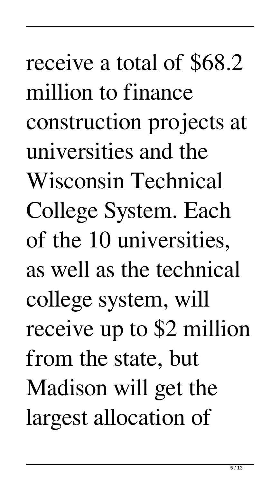receive a total of \$68.2 million to finance construction projects at universities and the Wisconsin Technical College System. Each of the 10 universities, as well as the technical college system, will receive up to \$2 million from the state, but Madison will get the largest allocation of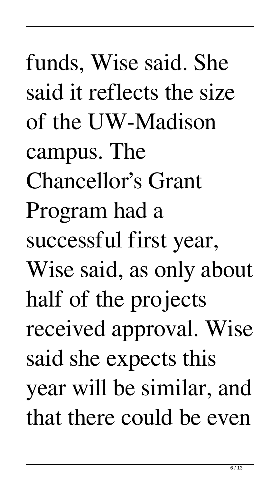funds, Wise said. She said it reflects the size of the UW-Madison campus. The Chancellor's Grant Program had a successful first year, Wise said, as only about half of the projects received approval. Wise said she expects this year will be similar, and that there could be even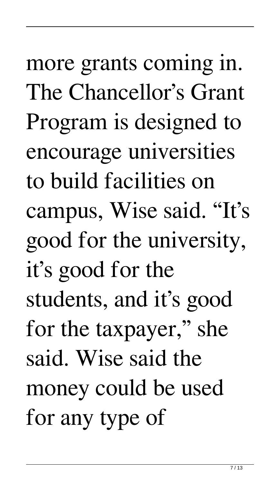more grants coming in. The Chancellor's Grant Program is designed to encourage universities to build facilities on campus, Wise said. "It's good for the university, it's good for the students, and it's good for the taxpayer," she said. Wise said the money could be used for any type of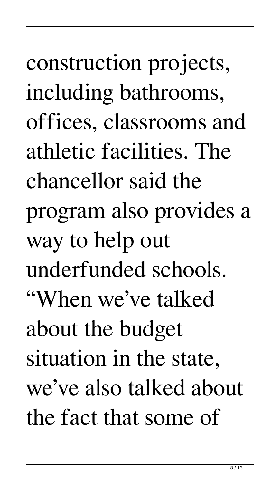construction projects, including bathrooms, offices, classrooms and athletic facilities. The chancellor said the program also provides a way to help out underfunded schools. "When we've talked about the budget situation in the state, we've also talked about the fact that some of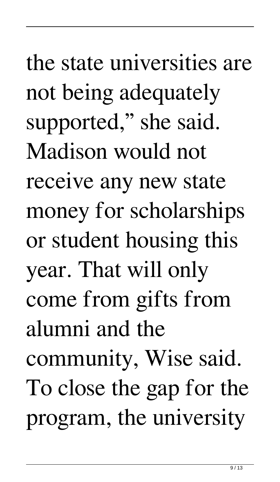the state universities are not being adequately supported," she said. Madison would not receive any new state money for scholarships or student housing this year. That will only come from gifts from alumni and the community, Wise said. To close the gap for the program, the university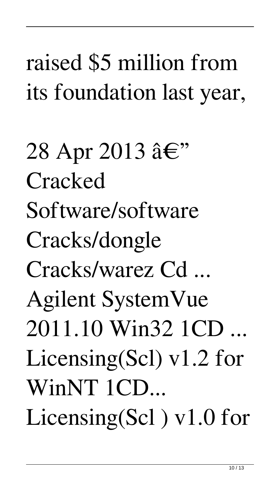## raised \$5 million from its foundation last year,

28 Apr 2013  $\hat{a} \in$ " **Cracked** Software/software Cracks/dongle Cracks/warez Cd ... Agilent SystemVue 2011.10 Win32 1CD ... Licensing(Scl) v1.2 for WinNT 1CD... Licensing(Scl) v1.0 for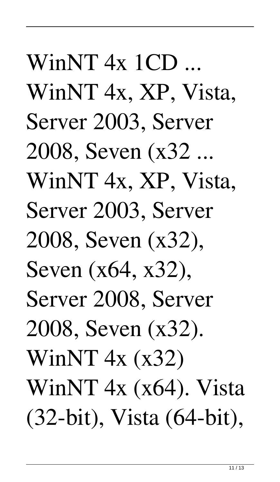$WinNT$  4x 1 $CD$  ... WinNT 4x, XP, Vista, Server 2003, Server 2008, Seven (x32 ... WinNT 4x, XP, Vista, Server 2003, Server 2008, Seven (x32), Seven (x64, x32), Server 2008, Server 2008, Seven (x32). WinNT 4x (x32) WinNT 4x (x64). Vista (32-bit), Vista (64-bit),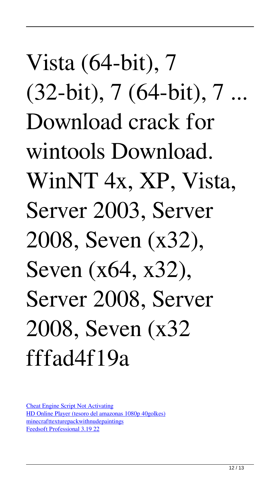Vista (64-bit), 7 (32-bit), 7 (64-bit), 7 ... Download crack for wintools Download. WinNT 4x, XP, Vista, Server 2003, Server 2008, Seven (x32), Seven (x64, x32), Server 2008, Server 2008, Seven (x32 fffad4f19a

[Cheat Engine Script Not Activating](https://docs.google.com/viewerng/viewer?url=demo.funneldrivenroi.com/council/upload/files/2022/05/oBPMdrE7Ek1QKyMSqMAg_13_3b32d002d9fe699ff384b38ab3eaf028_file.pdf) [HD Online Player \(tesoro del amazonas 1080p 40golkes\)](https://docs.google.com/viewerng/viewer?url=facepager.com/upload/files/2022/05/t1jurk5zRpiZzno9rus4_13_3b32d002d9fe699ff384b38ab3eaf028_file.pdf) [minecrafttexturepackwithnudepaintings](https://beta.pinoysg.net/upload/files/2022/05/kx9NOH2JcJvmoWKwnd3b_13_d548dbb3646c3f7dd039850a11a91a24_file.pdf) [Feedsoft Professional 3.19 22](https://docs.google.com/viewerng/viewer?url=axisflare.com/upload/files/2022/05/kyDuPuZ9AVLDLHTXsVj5_13_3b32d002d9fe699ff384b38ab3eaf028_file.pdf)